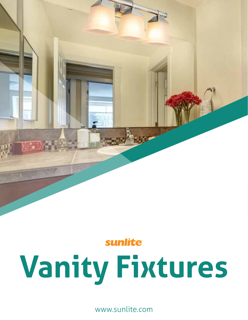

### sunlite®

# **Vanity Fixtures**

www.sunlite.com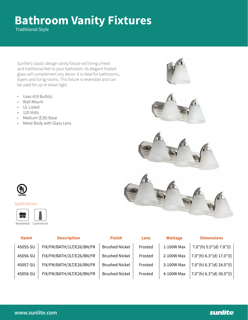## **Bathroom Vanity Fixtures**

Traditional Style

Sunlite's classic design vanity fixture will bring a fresh and traditional feel to your bathroom. Its elegant frosted glass will complement any decor. It is ideal for bathrooms, foyers and living rooms. This fixture is reversible and can be used for up or down light.

- Uses A19 Bulb(s)
- Wall Mount
- UL Listed
- 120 Volts
- Medium (E26) Base
- Metal Body with Glass Lens





#### Applications

┳ Residential Commercial

| Item#    | <b>Description</b>        | <b>Finish</b>         | Lens    | <b>Wattage</b> | <b>Dimensions</b>                 |
|----------|---------------------------|-----------------------|---------|----------------|-----------------------------------|
| 45055-SU | FIX/FM/BATH/1LT/E26/BN/FR | <b>Brushed Nickel</b> | Frosted | 1-100W Max     | $7.0$ "(h) $5.5$ "(d) $7.8$ "(l)  |
| 45056-SU | FIX/FM/BATH/2LT/E26/BN/FR | <b>Brushed Nickel</b> | Frosted | 2-100W Max     | $7.0$ "(h) $6.3$ "(d) $17.0$ "(l) |
| 45057-SU | FIX/FM/BATH/3LT/E26/BN/FR | <b>Brushed Nickel</b> | Frosted | 3-100W Max     | $7.0$ "(h) 6.3"(d) 24.0"(l)       |
| 45058-SU | FIX/FM/BATH/4LT/E26/BN/FR | <b>Brushed Nickel</b> | Frosted | 4-100W Max     | 7.0"(h) 6.3"(d) 30.0"(l)          |

### sunlite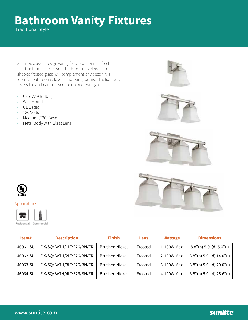## **Bathroom Vanity Fixtures**

Traditional Style

Sunlite's classic design vanity fixture will bring a fresh and traditional feel to your bathroom. Its elegant bell shaped frosted glass will complement any decor. It is ideal for bathrooms, foyers and living rooms. This fixture is reversible and can be used for up or down light.

- Uses A19 Bulb(s)
- Wall Mount
- UL Listed
- 120 Volts
- Medium (E26) Base
- Metal Body with Glass Lens







#### Applications

┳ Residential Commercial

| Item#    | <b>Description</b>        | <b>Finish</b>         | Lens    | <b>Wattage</b> | <b>Dimensions</b>                |
|----------|---------------------------|-----------------------|---------|----------------|----------------------------------|
| 46061-SU | FIX/SQ/BATH/1LT/E26/BN/FR | <b>Brushed Nickel</b> | Frosted | 1-100W Max     | $8.8"$ (h) $5.0"$ (d) $5.0"$ (l) |
| 46062-SU | FIX/SQ/BATH/2LT/E26/BN/FR | <b>Brushed Nickel</b> | Frosted | 2-100W Max     | 8.8"(h) 5.0"(d) 14.0"(l)         |
| 46063-SU | FIX/SQ/BATH/3LT/E26/BN/FR | <b>Brushed Nickel</b> | Frosted | 3-100W Max     | 8.8"(h) 5.0"(d) 20.0"(l)         |
| 46064-SU | FIX/SQ/BATH/4LT/E26/BN/FR | <b>Brushed Nickel</b> | Frosted | 4-100W Max     | 8.8"(h) 5.0"(d) 25.6"(l)         |

### sunlite